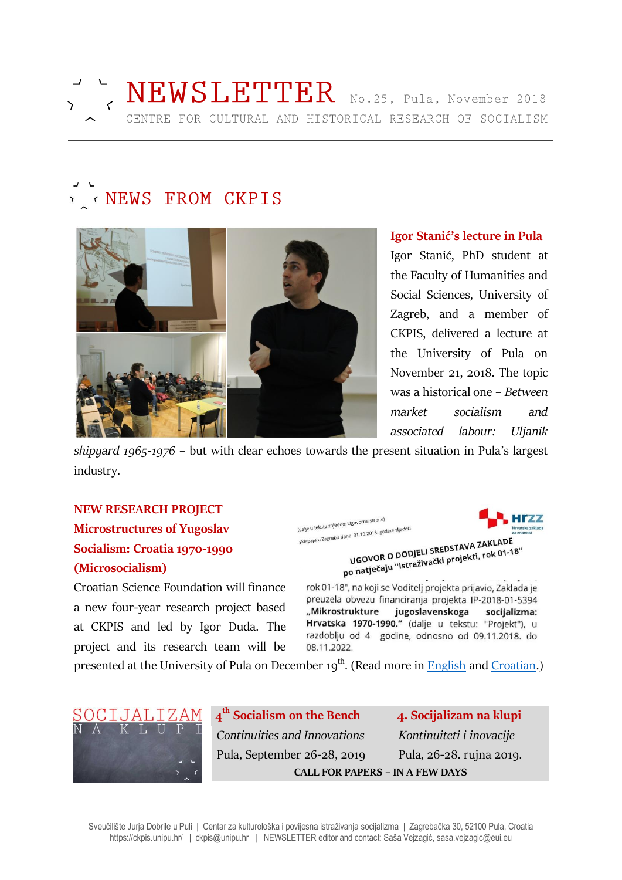

# **NEWS FROM CKPIS**



### **Igor Stanić's lecture in Pula**

Igor Stanić, PhD student at the Faculty of Humanities and Social Sciences, University of Zagreb, and a member of CKPIS, delivered a lecture at the University of Pula on November 21, 2018. The topic was a historical one – *Between market socialism and associated labour: Uljanik* 

*shipyard 1965-1976* – but with clear echoes towards the present situation in Pula's largest industry.

# **NEW RESEARCH PROJECT Microstructures of Yugoslav Socialism: Croatia 1970-1990 (Microsocialism)**

Croatian Science Foundation will finance a new four-year research project based at CKPIS and led by Igor Duda. The project and its research team will be

(dalje u tekstu zajedno: Ugovorne strane) (dalje u tekstu zajedno: Ugovorne su om...<br>sklapaju u Zagrebu dana -31.10.2018. godine sljedeći



10 31.10.2018. goune of<br>UGOVOR O DODJELI SREDSTAVA ZAKLADE<br>VGOVOR O DODJELI SREDSTAVA ZAKLADE UGOVOR O DODJELI SREDSTAVA ZAKLADE<br>po natječaju "Istraživački projekti, rok 01-18"

rok 01-18", na koji se Voditelj projekta prijavio, Zaklada je preuzela obvezu financiranja projekta IP-2018-01-5394 "Mikrostrukture jugoslavenskoga socijalizma: Hrvatska 1970-1990." (dalje u tekstu: "Projekt"), u razdoblju od 4 godine, odnosno od 09.11.2018. do 08.11.2022.

presented at the University of Pula on December 19<sup>th</sup>. (Read more in <u>English</u> and <u>Croatian</u>.)



**4 th Socialism on the Bench 4. Socijalizam na klupi** *Continuities and Innovations Kontinuiteti i inovacije* Pula, September 26-28, 2019 Pula, 26-28. rujna 2019. **CALL FOR PAPERS – IN A FEW DAYS**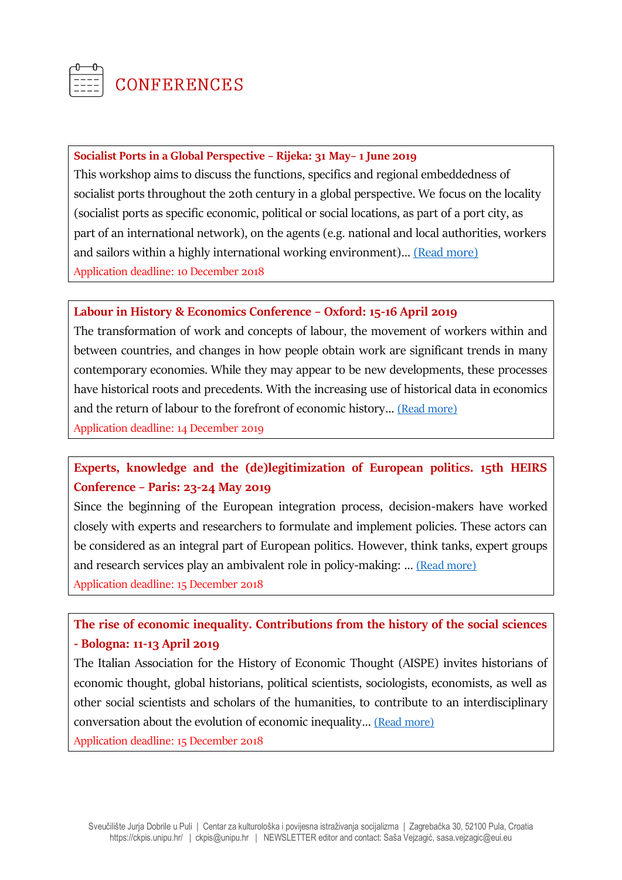

### **Socialist Ports in a Global Perspective – Rijeka: 31 May– 1 June 2019**

This workshop aims to discuss the functions, specifics and regional embeddedness of socialist ports throughout the 20th century in a global perspective. We focus on the locality (socialist ports as specific economic, political or social locations, as part of a port city, as part of an international network), on the agents (e.g. national and local authorities, workers and sailors within a highly international working environment)… [\(Read more\)](https://www.histsem.uni-kiel.de/de/abteilungen/osteuropaeische-geschichte-1/forschungsprojekte/projektordner/socialist-ports-in-a-global-perspective) Application deadline: 10 December 2018

### **Labour in History & Economics Conference – Oxford: 15-16 April 2019**

The transformation of work and concepts of labour, the movement of workers within and between countries, and changes in how people obtain work are significant trends in many contemporary economies. While they may appear to be new developments, these processes have historical roots and precedents. With the increasing use of historical data in economics and the return of labour to the forefront of economic history… [\(Read more\)](https://oxfordlabourconference.wordpress.com/call-for-papers/) Application deadline: 14 December 2019

# **Experts, knowledge and the (de)legitimization of European politics. 15th HEIRS Conference – Paris: 23-24 May 2019**

Since the beginning of the European integration process, decision-makers have worked closely with experts and researchers to formulate and implement policies. These actors can be considered as an integral part of European politics. However, think tanks, expert groups and research services play an ambivalent role in policy-making: … [\(Read more\)](https://heirsweb.wordpress.com/category/upcoming-conferences/) Application deadline: 15 December 2018

# **The rise of economic inequality. Contributions from the history of the social sciences - Bologna: 11-13 April 2019**

The Italian Association for the History of Economic Thought (AISPE) invites historians of economic thought, global historians, political scientists, sociologists, economists, as well as other social scientists and scholars of the humanities, to contribute to an interdisciplinary conversation about the evolution of economic inequality… [\(Read more\)](http://www.aispe.eu/wp-content/uploads/2015/09/CfP-AISPE-XVI_En-71.pdf)

Application deadline: 15 December 2018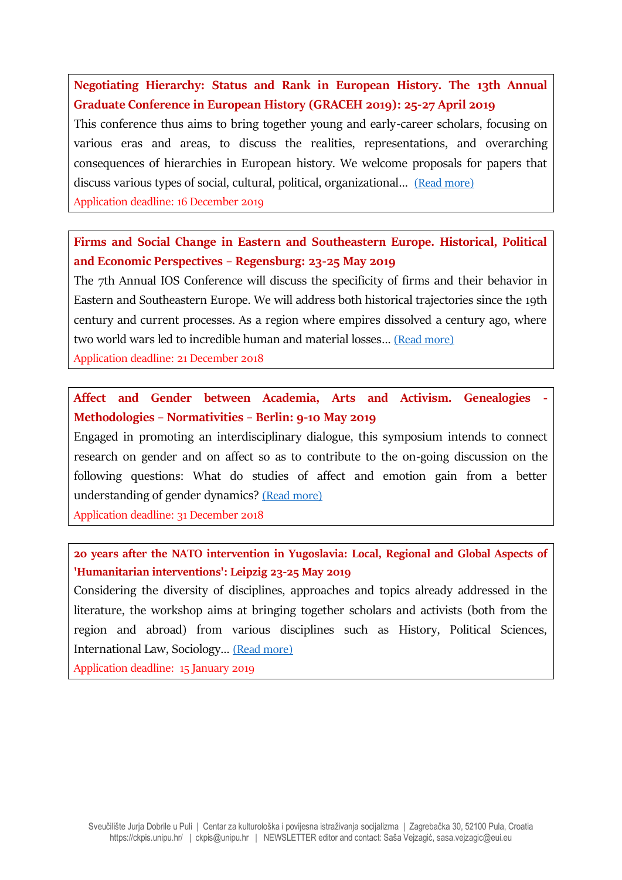**Negotiating Hierarchy: Status and Rank in European History. The 13th Annual Graduate Conference in European History (GRACEH 2019): 25-27 April 2019**

This conference thus aims to bring together young and early-career scholars, focusing on various eras and areas, to discuss the realities, representations, and overarching consequences of hierarchies in European history. We welcome proposals for papers that discuss various types of social, cultural, political, organizational... [\(Read more\)](https://graceh2019.wordpress.com/)

Application deadline: 16 December 2019

# **Firms and Social Change in Eastern and Southeastern Europe. Historical, Political and Economic Perspectives – Regensburg: 23-25 May 2019**

The 7th Annual IOS Conference will discuss the specificity of firms and their behavior in Eastern and Southeastern Europe. We will address both historical trajectories since the 19th century and current processes. As a region where empires dissolved a century ago, where two world wars led to incredible human and material losses... [\(Read more\)](https://www.ios-regensburg.de/fileadmin/doc/veranstaltungen/2019/2019_IOS_7_Conference_CfP.pdf)

Application deadline: 21 December 2018

# **Affect and Gender between Academia, Arts and Activism. Genealogies - Methodologies – Normativities – Berlin: 9-10 May 2019**

Engaged in promoting an interdisciplinary dialogue, this symposium intends to connect research on gender and on affect so as to contribute to the on-going discussion on the following questions: What do studies of affect and emotion gain from a better understanding of gender dynamics? [\(Read more\)](https://www.hsozkult.de/event/id/termine-38882)

Application deadline: 31 December 2018

# **20 years after the NATO intervention in Yugoslavia: Local, Regional and Global Aspects of 'Humanitarian interventions': Leipzig 23-25 May 2019**

Considering the diversity of disciplines, approaches and topics already addressed in the literature, the workshop aims at bringing together scholars and activists (both from the region and abroad) from various disciplines such as History, Political Sciences, International Law, Sociology… [\(Read more\)](https://www.hsozkult.de/event/id/termine-38807)

Application deadline: 15 January 2019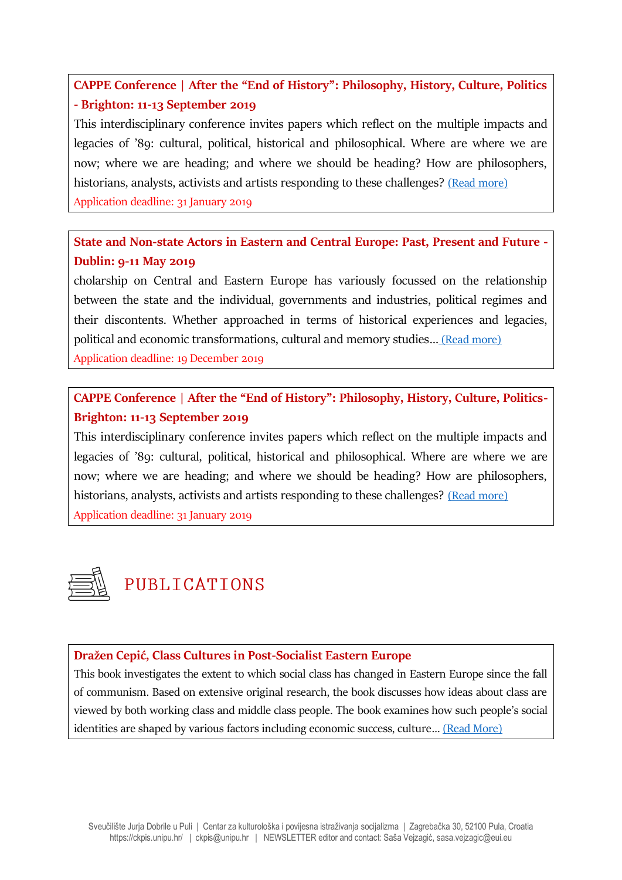# **CAPPE Conference | After the "End of History": Philosophy, History, Culture, Politics - Brighton: 11-13 September 2019**

This interdisciplinary conference invites papers which reflect on the multiple impacts and legacies of '89: cultural, political, historical and philosophical. Where are where we are now; where we are heading; and where we should be heading? How are philosophers, historians, analysts, activists and artists responding to these challenges? [\(Read more\)](http://arts.brighton.ac.uk/re/cappe/calendar/cappe-conference-after-the-end-of-history-philosophy,-history,-culture,-politics) Application deadline: 31 January 2019

# **State and Non-state Actors in Eastern and Central Europe: Past, Present and Future - Dublin: 9-11 May 2019**

cholarship on Central and Eastern Europe has variously focussed on the relationship between the state and the individual, governments and industries, political regimes and their discontents. Whether approached in terms of historical experiences and legacies, political and economic transformations, cultural and memory studies... [\(Read more\)](http://iarcees.org/docs/CFP_AC_2019_State_nonState.pdf) Application deadline: 19 December 2019

# **CAPPE Conference | After the "End of History": Philosophy, History, Culture, Politics-Brighton: 11-13 September 2019**

This interdisciplinary conference invites papers which reflect on the multiple impacts and legacies of '89: cultural, political, historical and philosophical. Where are where we are now; where we are heading; and where we should be heading? How are philosophers, historians, analysts, activists and artists responding to these challenges? [\(Read more\)](http://arts.brighton.ac.uk/re/cappe/calendar/cappe-conference-after-the-end-of-history-philosophy,-history,-culture,-politics) Application deadline: 31 January 2019



## **Dražen Cepić, Class Cultures in Post-Socialist Eastern Europe**

This book investigates the extent to which social class has changed in Eastern Europe since the fall of communism. Based on extensive original research, the book discusses how ideas about class are viewed by both working class and middle class people. The book examines how such people's social identities are shaped by various factors including economic success, culture… [\(Read More\)](https://www.routledge.com/Class-Cultures-in-Post-Socialist-Eastern-Europe/Cepic/p/book/9781138321366)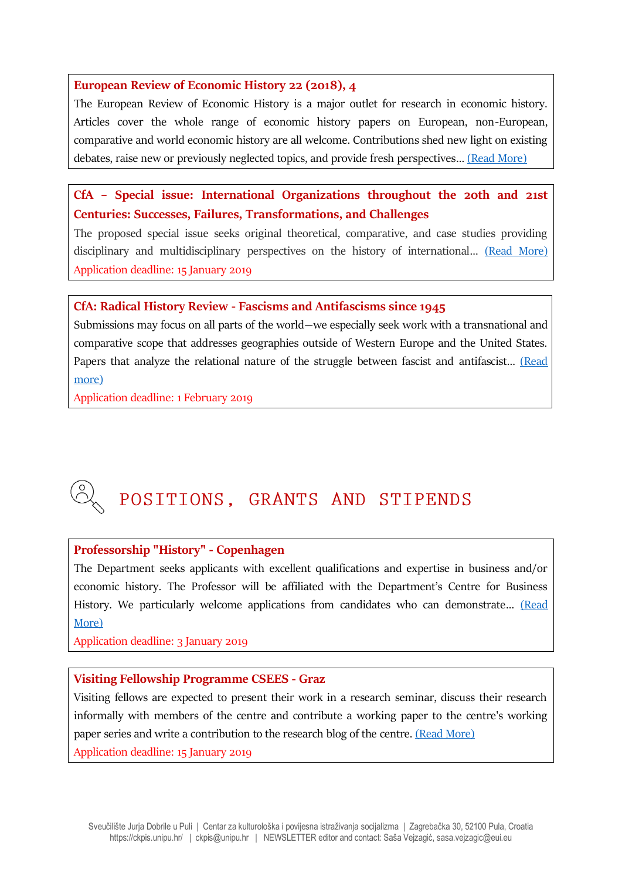### **European Review of Economic History 22 (2018), 4**

The European Review of Economic History is a major outlet for research in economic history. Articles cover the whole range of economic history papers on European, non-European, comparative and world economic history are all welcome. Contributions shed new light on existing debates, raise new or previously neglected topics, and provide fresh perspectives… [\(Read More\)](https://academic.oup.com/ereh/issue/22/4)

## **CfA – Special issue: International Organizations throughout the 20th and 21st Centuries: Successes, Failures, Transformations, and Challenges**

The proposed special issue seeks original theoretical, comparative, and case studies providing disciplinary and multidisciplinary perspectives on the history of international... [\(Read More\)](https://www.connections.clio-online.net/event/id/termine-38680) Application deadline: 15 January 2019

### **CfA: Radical History Review - Fascisms and Antifascisms since 1945**

Submissions may focus on all parts of the world—we especially seek work with a transnational and comparative scope that addresses geographies outside of Western Europe and the United States. Papers that analyze the relational nature of the struggle between fascist and antifascist... (Read [more\)](https://www.radicalhistoryreview.org/call-for-papers/fascisms-and-antifascisms-since-1945/)

Application deadline: 1 February 2019

# POSITIONS, GRANTS AND STIPENDS

### **Professorship "History" - Copenhagen**

The Department seeks applicants with excellent qualifications and expertise in business and/or economic history. The Professor will be affiliated with the Department's Centre for Business History. We particularly welcome applications from candidates who can demonstrate... (Read [More\)](https://www.cbs.dk/cbs/jobs-paa-cbs/ledige-stillinger/professorship-in-history)

Application deadline: 3 January 2019

### **Visiting Fellowship Programme CSEES - Graz**

Visiting fellows are expected to present their work in a research seminar, discuss their research informally with members of the centre and contribute a working paper to the centre's working paper series and write a contribution to the research blog of the centre. [\(Read More\)](https://suedosteuropa.uni-graz.at/en/centre/visiting-fellowship-programme/) Application deadline: 15 January 2019